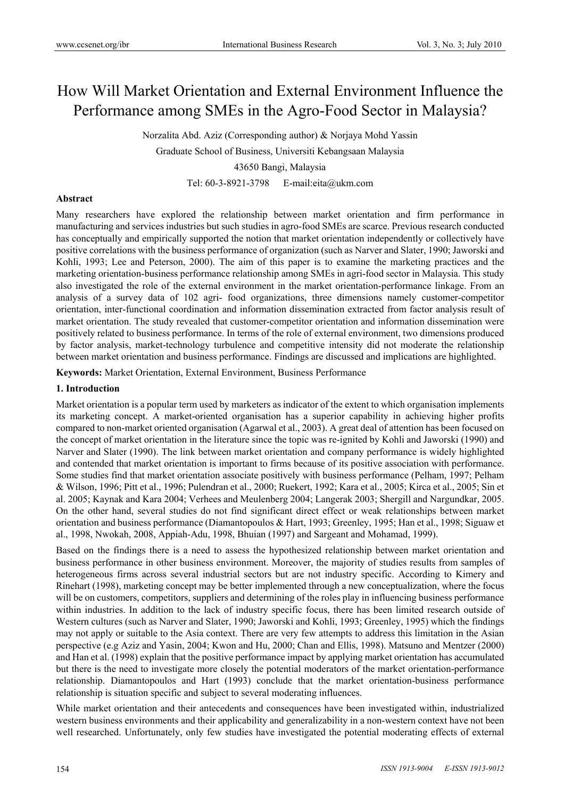# How Will Market Orientation and External Environment Influence the Performance among SMEs in the Agro-Food Sector in Malaysia?

Norzalita Abd. Aziz (Corresponding author) & Norjaya Mohd Yassin Graduate School of Business, Universiti Kebangsaan Malaysia 43650 Bangi, Malaysia Tel: 60-3-8921-3798 E-mail:eita@ukm.com

## **Abstract**

Many researchers have explored the relationship between market orientation and firm performance in manufacturing and services industries but such studies in agro-food SMEs are scarce. Previous research conducted has conceptually and empirically supported the notion that market orientation independently or collectively have positive correlations with the business performance of organization (such as Narver and Slater, 1990; Jaworski and Kohli, 1993; Lee and Peterson, 2000). The aim of this paper is to examine the marketing practices and the marketing orientation-business performance relationship among SMEs in agri-food sector in Malaysia. This study also investigated the role of the external environment in the market orientation-performance linkage. From an analysis of a survey data of 102 agri- food organizations, three dimensions namely customer-competitor orientation, inter-functional coordination and information dissemination extracted from factor analysis result of market orientation. The study revealed that customer-competitor orientation and information dissemination were positively related to business performance. In terms of the role of external environment, two dimensions produced by factor analysis, market-technology turbulence and competitive intensity did not moderate the relationship between market orientation and business performance. Findings are discussed and implications are highlighted.

**Keywords:** Market Orientation, External Environment, Business Performance

## **1. Introduction**

Market orientation is a popular term used by marketers as indicator of the extent to which organisation implements its marketing concept. A market-oriented organisation has a superior capability in achieving higher profits compared to non-market oriented organisation (Agarwal et al., 2003). A great deal of attention has been focused on the concept of market orientation in the literature since the topic was re-ignited by Kohli and Jaworski (1990) and Narver and Slater (1990). The link between market orientation and company performance is widely highlighted and contended that market orientation is important to firms because of its positive association with performance. Some studies find that market orientation associate positively with business performance (Pelham, 1997; Pelham & Wilson, 1996; Pitt et al., 1996; Pulendran et al., 2000; Ruekert, 1992; Kara et al., 2005; Kirca et al., 2005; Sin et al. 2005; Kaynak and Kara 2004; Verhees and Meulenberg 2004; Langerak 2003; Shergill and Nargundkar, 2005. On the other hand, several studies do not find significant direct effect or weak relationships between market orientation and business performance (Diamantopoulos & Hart, 1993; Greenley, 1995; Han et al., 1998; Siguaw et al., 1998, Nwokah, 2008, Appiah-Adu, 1998, Bhuian (1997) and Sargeant and Mohamad, 1999).

Based on the findings there is a need to assess the hypothesized relationship between market orientation and business performance in other business environment. Moreover, the majority of studies results from samples of heterogeneous firms across several industrial sectors but are not industry specific. According to Kimery and Rinehart (1998), marketing concept may be better implemented through a new conceptualization, where the focus will be on customers, competitors, suppliers and determining of the roles play in influencing business performance within industries. In addition to the lack of industry specific focus, there has been limited research outside of Western cultures (such as Narver and Slater, 1990; Jaworski and Kohli, 1993; Greenley, 1995) which the findings may not apply or suitable to the Asia context. There are very few attempts to address this limitation in the Asian perspective (e.g Aziz and Yasin, 2004; Kwon and Hu, 2000; Chan and Ellis, 1998). Matsuno and Mentzer (2000) and Han et al. (1998) explain that the positive performance impact by applying market orientation has accumulated but there is the need to investigate more closely the potential moderators of the market orientation-performance relationship. Diamantopoulos and Hart (1993) conclude that the market orientation-business performance relationship is situation specific and subject to several moderating influences.

While market orientation and their antecedents and consequences have been investigated within, industrialized western business environments and their applicability and generalizability in a non-western context have not been well researched. Unfortunately, only few studies have investigated the potential moderating effects of external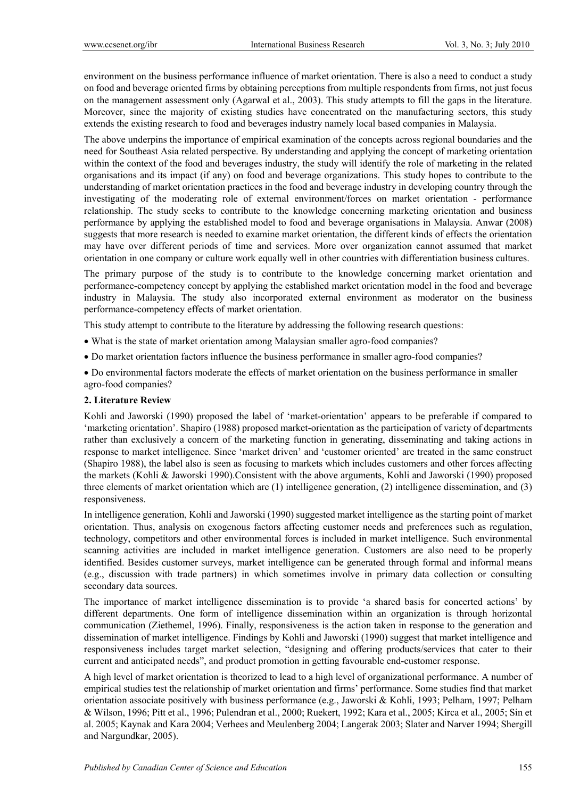environment on the business performance influence of market orientation. There is also a need to conduct a study on food and beverage oriented firms by obtaining perceptions from multiple respondents from firms, not just focus on the management assessment only (Agarwal et al., 2003). This study attempts to fill the gaps in the literature. Moreover, since the majority of existing studies have concentrated on the manufacturing sectors, this study extends the existing research to food and beverages industry namely local based companies in Malaysia.

The above underpins the importance of empirical examination of the concepts across regional boundaries and the need for Southeast Asia related perspective. By understanding and applying the concept of marketing orientation within the context of the food and beverages industry, the study will identify the role of marketing in the related organisations and its impact (if any) on food and beverage organizations. This study hopes to contribute to the understanding of market orientation practices in the food and beverage industry in developing country through the investigating of the moderating role of external environment/forces on market orientation - performance relationship. The study seeks to contribute to the knowledge concerning marketing orientation and business performance by applying the established model to food and beverage organisations in Malaysia. Anwar (2008) suggests that more research is needed to examine market orientation, the different kinds of effects the orientation may have over different periods of time and services. More over organization cannot assumed that market orientation in one company or culture work equally well in other countries with differentiation business cultures.

The primary purpose of the study is to contribute to the knowledge concerning market orientation and performance-competency concept by applying the established market orientation model in the food and beverage industry in Malaysia. The study also incorporated external environment as moderator on the business performance-competency effects of market orientation.

This study attempt to contribute to the literature by addressing the following research questions:

- What is the state of market orientation among Malaysian smaller agro-food companies?
- Do market orientation factors influence the business performance in smaller agro-food companies?

• Do environmental factors moderate the effects of market orientation on the business performance in smaller agro-food companies?

### **2. Literature Review**

Kohli and Jaworski (1990) proposed the label of 'market-orientation' appears to be preferable if compared to 'marketing orientation'. Shapiro (1988) proposed market-orientation as the participation of variety of departments rather than exclusively a concern of the marketing function in generating, disseminating and taking actions in response to market intelligence. Since 'market driven' and 'customer oriented' are treated in the same construct (Shapiro 1988), the label also is seen as focusing to markets which includes customers and other forces affecting the markets (Kohli & Jaworski 1990).Consistent with the above arguments, Kohli and Jaworski (1990) proposed three elements of market orientation which are (1) intelligence generation, (2) intelligence dissemination, and (3) responsiveness.

In intelligence generation, Kohli and Jaworski (1990) suggested market intelligence as the starting point of market orientation. Thus, analysis on exogenous factors affecting customer needs and preferences such as regulation, technology, competitors and other environmental forces is included in market intelligence. Such environmental scanning activities are included in market intelligence generation. Customers are also need to be properly identified. Besides customer surveys, market intelligence can be generated through formal and informal means (e.g., discussion with trade partners) in which sometimes involve in primary data collection or consulting secondary data sources.

The importance of market intelligence dissemination is to provide 'a shared basis for concerted actions' by different departments. One form of intelligence dissemination within an organization is through horizontal communication (Ziethemel, 1996). Finally, responsiveness is the action taken in response to the generation and dissemination of market intelligence. Findings by Kohli and Jaworski (1990) suggest that market intelligence and responsiveness includes target market selection, "designing and offering products/services that cater to their current and anticipated needs", and product promotion in getting favourable end-customer response.

A high level of market orientation is theorized to lead to a high level of organizational performance. A number of empirical studies test the relationship of market orientation and firms' performance. Some studies find that market orientation associate positively with business performance (e.g., Jaworski & Kohli, 1993; Pelham, 1997; Pelham & Wilson, 1996; Pitt et al., 1996; Pulendran et al., 2000; Ruekert, 1992; Kara et al., 2005; Kirca et al., 2005; Sin et al. 2005; Kaynak and Kara 2004; Verhees and Meulenberg 2004; Langerak 2003; Slater and Narver 1994; Shergill and Nargundkar, 2005).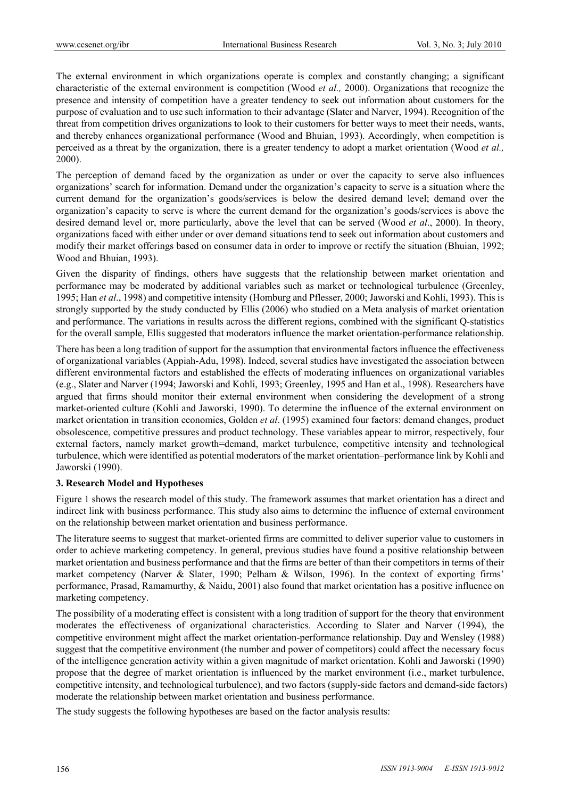The external environment in which organizations operate is complex and constantly changing; a significant characteristic of the external environment is competition (Wood *et al.,* 2000). Organizations that recognize the presence and intensity of competition have a greater tendency to seek out information about customers for the purpose of evaluation and to use such information to their advantage (Slater and Narver, 1994). Recognition of the threat from competition drives organizations to look to their customers for better ways to meet their needs, wants, and thereby enhances organizational performance (Wood and Bhuian, 1993). Accordingly, when competition is perceived as a threat by the organization, there is a greater tendency to adopt a market orientation (Wood *et al.,* 2000).

The perception of demand faced by the organization as under or over the capacity to serve also influences organizations' search for information. Demand under the organization's capacity to serve is a situation where the current demand for the organization's goods/services is below the desired demand level; demand over the organization's capacity to serve is where the current demand for the organization's goods/services is above the desired demand level or, more particularly, above the level that can be served (Wood *et al*., 2000). In theory, organizations faced with either under or over demand situations tend to seek out information about customers and modify their market offerings based on consumer data in order to improve or rectify the situation (Bhuian, 1992; Wood and Bhuian, 1993).

Given the disparity of findings, others have suggests that the relationship between market orientation and performance may be moderated by additional variables such as market or technological turbulence (Greenley, 1995; Han *et al*., 1998) and competitive intensity (Homburg and Pflesser, 2000; Jaworski and Kohli, 1993). This is strongly supported by the study conducted by Ellis (2006) who studied on a Meta analysis of market orientation and performance. The variations in results across the different regions, combined with the significant Q-statistics for the overall sample, Ellis suggested that moderators influence the market orientation-performance relationship.

There has been a long tradition of support for the assumption that environmental factors influence the effectiveness of organizational variables (Appiah-Adu, 1998). Indeed, several studies have investigated the association between different environmental factors and established the effects of moderating influences on organizational variables (e.g., Slater and Narver (1994; Jaworski and Kohli, 1993; Greenley, 1995 and Han et al., 1998). Researchers have argued that firms should monitor their external environment when considering the development of a strong market-oriented culture (Kohli and Jaworski, 1990). To determine the influence of the external environment on market orientation in transition economies, Golden *et al*. (1995) examined four factors: demand changes, product obsolescence, competitive pressures and product technology. These variables appear to mirror, respectively, four external factors, namely market growth=demand, market turbulence, competitive intensity and technological turbulence, which were identified as potential moderators of the market orientation–performance link by Kohli and Jaworski (1990).

#### **3. Research Model and Hypotheses**

Figure 1 shows the research model of this study. The framework assumes that market orientation has a direct and indirect link with business performance. This study also aims to determine the influence of external environment on the relationship between market orientation and business performance.

The literature seems to suggest that market-oriented firms are committed to deliver superior value to customers in order to achieve marketing competency. In general, previous studies have found a positive relationship between market orientation and business performance and that the firms are better of than their competitors in terms of their market competency (Narver & Slater, 1990; Pelham & Wilson, 1996). In the context of exporting firms' performance, Prasad, Ramamurthy, & Naidu, 2001) also found that market orientation has a positive influence on marketing competency.

The possibility of a moderating effect is consistent with a long tradition of support for the theory that environment moderates the effectiveness of organizational characteristics. According to Slater and Narver (1994), the competitive environment might affect the market orientation-performance relationship. Day and Wensley (1988) suggest that the competitive environment (the number and power of competitors) could affect the necessary focus of the intelligence generation activity within a given magnitude of market orientation. Kohli and Jaworski (1990) propose that the degree of market orientation is influenced by the market environment (i.e., market turbulence, competitive intensity, and technological turbulence), and two factors (supply-side factors and demand-side factors) moderate the relationship between market orientation and business performance.

The study suggests the following hypotheses are based on the factor analysis results: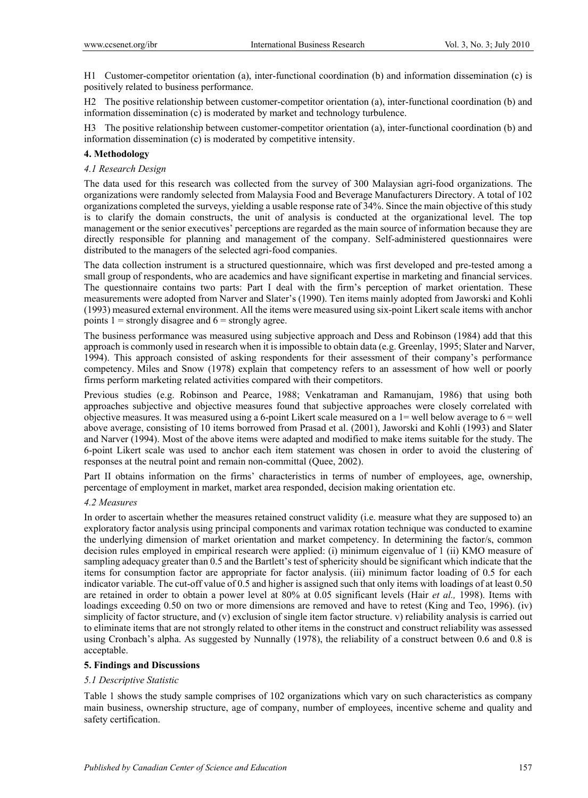H1 Customer-competitor orientation (a), inter-functional coordination (b) and information dissemination (c) is positively related to business performance.

H2 The positive relationship between customer-competitor orientation (a), inter-functional coordination (b) and information dissemination (c) is moderated by market and technology turbulence.

H3 The positive relationship between customer-competitor orientation (a), inter-functional coordination (b) and information dissemination (c) is moderated by competitive intensity.

## **4. Methodology**

### *4.1 Research Design*

The data used for this research was collected from the survey of 300 Malaysian agri-food organizations. The organizations were randomly selected from Malaysia Food and Beverage Manufacturers Directory. A total of 102 organizations completed the surveys, yielding a usable response rate of 34%. Since the main objective of this study is to clarify the domain constructs, the unit of analysis is conducted at the organizational level. The top management or the senior executives' perceptions are regarded as the main source of information because they are directly responsible for planning and management of the company. Self-administered questionnaires were distributed to the managers of the selected agri-food companies.

The data collection instrument is a structured questionnaire, which was first developed and pre-tested among a small group of respondents, who are academics and have significant expertise in marketing and financial services. The questionnaire contains two parts: Part I deal with the firm's perception of market orientation. These measurements were adopted from Narver and Slater's (1990). Ten items mainly adopted from Jaworski and Kohli (1993) measured external environment. All the items were measured using six-point Likert scale items with anchor points  $1 =$  strongly disagree and  $6 =$  strongly agree.

The business performance was measured using subjective approach and Dess and Robinson (1984) add that this approach is commonly used in research when it is impossible to obtain data (e.g. Greenlay, 1995; Slater and Narver, 1994). This approach consisted of asking respondents for their assessment of their company's performance competency. Miles and Snow (1978) explain that competency refers to an assessment of how well or poorly firms perform marketing related activities compared with their competitors.

Previous studies (e.g. Robinson and Pearce, 1988; Venkatraman and Ramanujam, 1986) that using both approaches subjective and objective measures found that subjective approaches were closely correlated with objective measures. It was measured using a 6-point Likert scale measured on a  $1$  = well below average to  $6$  = well above average, consisting of 10 items borrowed from Prasad et al. (2001), Jaworski and Kohli (1993) and Slater and Narver (1994). Most of the above items were adapted and modified to make items suitable for the study. The 6-point Likert scale was used to anchor each item statement was chosen in order to avoid the clustering of responses at the neutral point and remain non-committal (Quee, 2002).

Part II obtains information on the firms' characteristics in terms of number of employees, age, ownership, percentage of employment in market, market area responded, decision making orientation etc.

#### *4.2 Measures*

In order to ascertain whether the measures retained construct validity (i.e. measure what they are supposed to) an exploratory factor analysis using principal components and varimax rotation technique was conducted to examine the underlying dimension of market orientation and market competency. In determining the factor/s, common decision rules employed in empirical research were applied: (i) minimum eigenvalue of 1 (ii) KMO measure of sampling adequacy greater than 0.5 and the Bartlett's test of sphericity should be significant which indicate that the items for consumption factor are appropriate for factor analysis. (iii) minimum factor loading of 0.5 for each indicator variable. The cut-off value of 0.5 and higher is assigned such that only items with loadings of at least 0.50 are retained in order to obtain a power level at 80% at 0.05 significant levels (Hair *et al.,* 1998). Items with loadings exceeding 0.50 on two or more dimensions are removed and have to retest (King and Teo, 1996). (iv) simplicity of factor structure, and (v) exclusion of single item factor structure. v) reliability analysis is carried out to eliminate items that are not strongly related to other items in the construct and construct reliability was assessed using Cronbach's alpha. As suggested by Nunnally (1978), the reliability of a construct between 0.6 and 0.8 is acceptable.

#### **5. Findings and Discussions**

#### *5.1 Descriptive Statistic*

Table 1 shows the study sample comprises of 102 organizations which vary on such characteristics as company main business, ownership structure, age of company, number of employees, incentive scheme and quality and safety certification.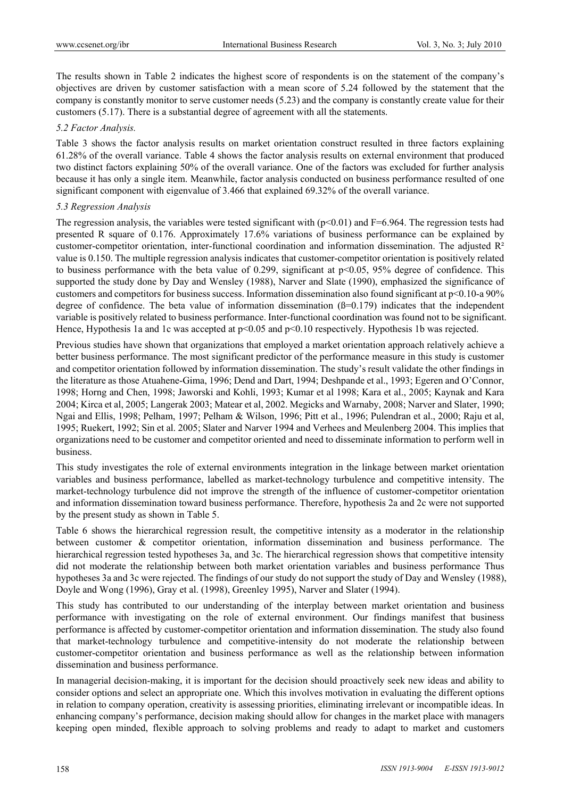The results shown in Table 2 indicates the highest score of respondents is on the statement of the company's objectives are driven by customer satisfaction with a mean score of 5.24 followed by the statement that the company is constantly monitor to serve customer needs (5.23) and the company is constantly create value for their customers (5.17). There is a substantial degree of agreement with all the statements.

#### *5.2 Factor Analysis.*

Table 3 shows the factor analysis results on market orientation construct resulted in three factors explaining 61.28% of the overall variance. Table 4 shows the factor analysis results on external environment that produced two distinct factors explaining 50% of the overall variance. One of the factors was excluded for further analysis because it has only a single item. Meanwhile, factor analysis conducted on business performance resulted of one significant component with eigenvalue of 3.466 that explained 69.32% of the overall variance.

#### *5.3 Regression Analysis*

The regression analysis, the variables were tested significant with  $(p<0.01)$  and F=6.964. The regression tests had presented R square of 0.176. Approximately 17.6% variations of business performance can be explained by customer-competitor orientation, inter-functional coordination and information dissemination. The adjusted  $\mathbb{R}^2$ value is 0.150. The multiple regression analysis indicates that customer-competitor orientation is positively related to business performance with the beta value of 0.299, significant at  $p<0.05$ , 95% degree of confidence. This supported the study done by Day and Wensley (1988), Narver and Slate (1990), emphasized the significance of customers and competitors for business success. Information dissemination also found significant at p<0.10-a 90% degree of confidence. The beta value of information dissemination  $(\beta=0.179)$  indicates that the independent variable is positively related to business performance. Inter-functional coordination was found not to be significant. Hence, Hypothesis 1a and 1c was accepted at  $p<0.05$  and  $p<0.10$  respectively. Hypothesis 1b was rejected.

Previous studies have shown that organizations that employed a market orientation approach relatively achieve a better business performance. The most significant predictor of the performance measure in this study is customer and competitor orientation followed by information dissemination. The study's result validate the other findings in the literature as those Atuahene-Gima, 1996; Dend and Dart, 1994; Deshpande et al., 1993; Egeren and O'Connor, 1998; Horng and Chen, 1998; Jaworski and Kohli, 1993; Kumar et al 1998; Kara et al., 2005; Kaynak and Kara 2004; Kirca et al, 2005; Langerak 2003; Matear et al, 2002. Megicks and Warnaby, 2008; Narver and Slater, 1990; Ngai and Ellis, 1998; Pelham, 1997; Pelham & Wilson, 1996; Pitt et al., 1996; Pulendran et al., 2000; Raju et al, 1995; Ruekert, 1992; Sin et al. 2005; Slater and Narver 1994 and Verhees and Meulenberg 2004. This implies that organizations need to be customer and competitor oriented and need to disseminate information to perform well in business.

This study investigates the role of external environments integration in the linkage between market orientation variables and business performance, labelled as market-technology turbulence and competitive intensity. The market-technology turbulence did not improve the strength of the influence of customer-competitor orientation and information dissemination toward business performance. Therefore, hypothesis 2a and 2c were not supported by the present study as shown in Table 5.

Table 6 shows the hierarchical regression result, the competitive intensity as a moderator in the relationship between customer & competitor orientation, information dissemination and business performance. The hierarchical regression tested hypotheses 3a, and 3c. The hierarchical regression shows that competitive intensity did not moderate the relationship between both market orientation variables and business performance Thus hypotheses 3a and 3c were rejected. The findings of our study do not support the study of Day and Wensley (1988), Doyle and Wong (1996), Gray et al. (1998), Greenley 1995), Narver and Slater (1994).

This study has contributed to our understanding of the interplay between market orientation and business performance with investigating on the role of external environment. Our findings manifest that business performance is affected by customer-competitor orientation and information dissemination. The study also found that market-technology turbulence and competitive-intensity do not moderate the relationship between customer-competitor orientation and business performance as well as the relationship between information dissemination and business performance.

In managerial decision-making, it is important for the decision should proactively seek new ideas and ability to consider options and select an appropriate one. Which this involves motivation in evaluating the different options in relation to company operation, creativity is assessing priorities, eliminating irrelevant or incompatible ideas. In enhancing company's performance, decision making should allow for changes in the market place with managers keeping open minded, flexible approach to solving problems and ready to adapt to market and customers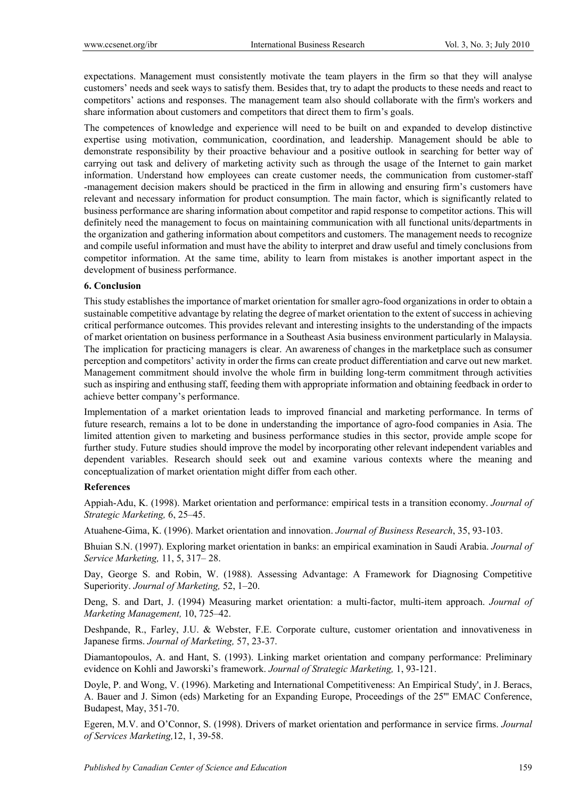expectations. Management must consistently motivate the team players in the firm so that they will analyse customers' needs and seek ways to satisfy them. Besides that, try to adapt the products to these needs and react to competitors' actions and responses. The management team also should collaborate with the firm's workers and share information about customers and competitors that direct them to firm's goals.

The competences of knowledge and experience will need to be built on and expanded to develop distinctive expertise using motivation, communication, coordination, and leadership. Management should be able to demonstrate responsibility by their proactive behaviour and a positive outlook in searching for better way of carrying out task and delivery of marketing activity such as through the usage of the Internet to gain market information. Understand how employees can create customer needs, the communication from customer-staff -management decision makers should be practiced in the firm in allowing and ensuring firm's customers have relevant and necessary information for product consumption. The main factor, which is significantly related to business performance are sharing information about competitor and rapid response to competitor actions. This will definitely need the management to focus on maintaining communication with all functional units/departments in the organization and gathering information about competitors and customers. The management needs to recognize and compile useful information and must have the ability to interpret and draw useful and timely conclusions from competitor information. At the same time, ability to learn from mistakes is another important aspect in the development of business performance.

#### **6. Conclusion**

This study establishes the importance of market orientation for smaller agro-food organizations in order to obtain a sustainable competitive advantage by relating the degree of market orientation to the extent of success in achieving critical performance outcomes. This provides relevant and interesting insights to the understanding of the impacts of market orientation on business performance in a Southeast Asia business environment particularly in Malaysia. The implication for practicing managers is clear. An awareness of changes in the marketplace such as consumer perception and competitors' activity in order the firms can create product differentiation and carve out new market. Management commitment should involve the whole firm in building long-term commitment through activities such as inspiring and enthusing staff, feeding them with appropriate information and obtaining feedback in order to achieve better company's performance.

Implementation of a market orientation leads to improved financial and marketing performance. In terms of future research, remains a lot to be done in understanding the importance of agro-food companies in Asia. The limited attention given to marketing and business performance studies in this sector, provide ample scope for further study. Future studies should improve the model by incorporating other relevant independent variables and dependent variables. Research should seek out and examine various contexts where the meaning and conceptualization of market orientation might differ from each other.

#### **References**

Appiah-Adu, K. (1998). Market orientation and performance: empirical tests in a transition economy. *Journal of Strategic Marketing,* 6, 25–45.

Atuahene-Gima, K. (1996). Market orientation and innovation. *Journal of Business Research*, 35, 93-103.

Bhuian S.N. (1997). Exploring market orientation in banks: an empirical examination in Saudi Arabia. *Journal of Service Marketing,* 11, 5, 317– 28.

Day, George S. and Robin, W. (1988). Assessing Advantage: A Framework for Diagnosing Competitive Superiority. *Journal of Marketing,* 52, 1–20.

Deng, S. and Dart, J. (1994) Measuring market orientation: a multi-factor, multi-item approach. *Journal of Marketing Management,* 10, 725–42.

Deshpande, R., Farley, J.U. & Webster, F.E. Corporate culture, customer orientation and innovativeness in Japanese firms. *Journal of Marketing,* 57, 23-37.

Diamantopoulos, A. and Hant, S. (1993). Linking market orientation and company performance: Preliminary evidence on Kohli and Jaworski's framework. *Journal of Strategic Marketing,* 1, 93-121.

Doyle, P. and Wong, V. (1996). Marketing and International Competitiveness: An Empirical Study', in J. Beracs, A. Bauer and J. Simon (eds) Marketing for an Expanding Europe, Proceedings of the 25''' EMAC Conference, Budapest, May, 351-70.

Egeren, M.V. and O'Connor, S. (1998). Drivers of market orientation and performance in service firms. *Journal of Services Marketing,*12, 1, 39-58.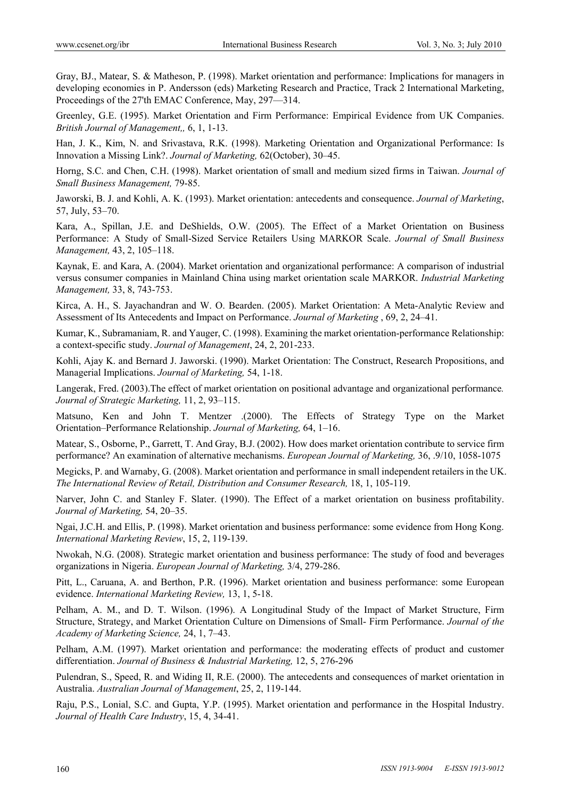Gray, BJ., Matear, S. & Matheson, P. (1998). Market orientation and performance: Implications for managers in developing economies in P. Andersson (eds) Marketing Research and Practice, Track 2 International Marketing, Proceedings of the 27'th EMAC Conference, May, 297—314.

Greenley, G.E. (1995). Market Orientation and Firm Performance: Empirical Evidence from UK Companies. *British Journal of Management,,* 6, 1, 1-13.

Han, J. K., Kim, N. and Srivastava, R.K. (1998). Marketing Orientation and Organizational Performance: Is Innovation a Missing Link?. *Journal of Marketing,* 62(October), 30–45.

Horng, S.C. and Chen, C.H. (1998). Market orientation of small and medium sized firms in Taiwan. *Journal of Small Business Management,* 79-85.

Jaworski, B. J. and Kohli, A. K. (1993). Market orientation: antecedents and consequence. *Journal of Marketing*, 57, July, 53–70.

Kara, A., Spillan, J.E. and DeShields, O.W. (2005). The Effect of a Market Orientation on Business Performance: A Study of Small-Sized Service Retailers Using MARKOR Scale. *Journal of Small Business Management,* 43, 2, 105–118.

Kaynak, E. and Kara, A. (2004). Market orientation and organizational performance: A comparison of industrial versus consumer companies in Mainland China using market orientation scale MARKOR. *Industrial Marketing Management,* 33, 8, 743-753.

Kirca, A. H., S. Jayachandran and W. O. Bearden. (2005). Market Orientation: A Meta-Analytic Review and Assessment of Its Antecedents and Impact on Performance. *Journal of Marketing* , 69, 2, 24–41.

Kumar, K., Subramaniam, R. and Yauger, C. (1998). Examining the market orientation-performance Relationship: a context-specific study. *Journal of Management*, 24, 2, 201-233.

Kohli, Ajay K. and Bernard J. Jaworski. (1990). Market Orientation: The Construct, Research Propositions, and Managerial Implications. *Journal of Marketing,* 54, 1-18.

Langerak, Fred. (2003).The effect of market orientation on positional advantage and organizational performance*. Journal of Strategic Marketing,* 11, 2, 93–115.

Matsuno, Ken and John T. Mentzer .(2000). The Effects of Strategy Type on the Market Orientation–Performance Relationship. *Journal of Marketing,* 64, 1–16.

Matear, S., Osborne, P., Garrett, T. And Gray, B.J. (2002). How does market orientation contribute to service firm performance? An examination of alternative mechanisms. *European Journal of Marketing,* 36, .9/10, 1058-1075

Megicks, P. and Warnaby, G. (2008). Market orientation and performance in small independent retailers in the UK. *The International Review of Retail, Distribution and Consumer Research,* 18, 1, 105-119.

Narver, John C. and Stanley F. Slater. (1990). The Effect of a market orientation on business profitability. *Journal of Marketing,* 54, 20–35.

Ngai, J.C.H. and Ellis, P. (1998). Market orientation and business performance: some evidence from Hong Kong. *International Marketing Review*, 15, 2, 119-139.

Nwokah, N.G. (2008). Strategic market orientation and business performance: The study of food and beverages organizations in Nigeria. *European Journal of Marketing,* 3/4, 279-286.

Pitt, L., Caruana, A. and Berthon, P.R. (1996). Market orientation and business performance: some European evidence. *International Marketing Review,* 13, 1, 5-18.

Pelham, A. M., and D. T. Wilson. (1996). A Longitudinal Study of the Impact of Market Structure, Firm Structure, Strategy, and Market Orientation Culture on Dimensions of Small- Firm Performance. *Journal of the Academy of Marketing Science,* 24, 1, 7–43.

Pelham, A.M. (1997). Market orientation and performance: the moderating effects of product and customer differentiation. *Journal of Business & Industrial Marketing,* 12, 5, 276-296

Pulendran, S., Speed, R. and Widing II, R.E. (2000). The antecedents and consequences of market orientation in Australia. *Australian Journal of Management*, 25, 2, 119-144.

Raju, P.S., Lonial, S.C. and Gupta, Y.P. (1995). Market orientation and performance in the Hospital Industry. *Journal of Health Care Industry*, 15, 4, 34-41.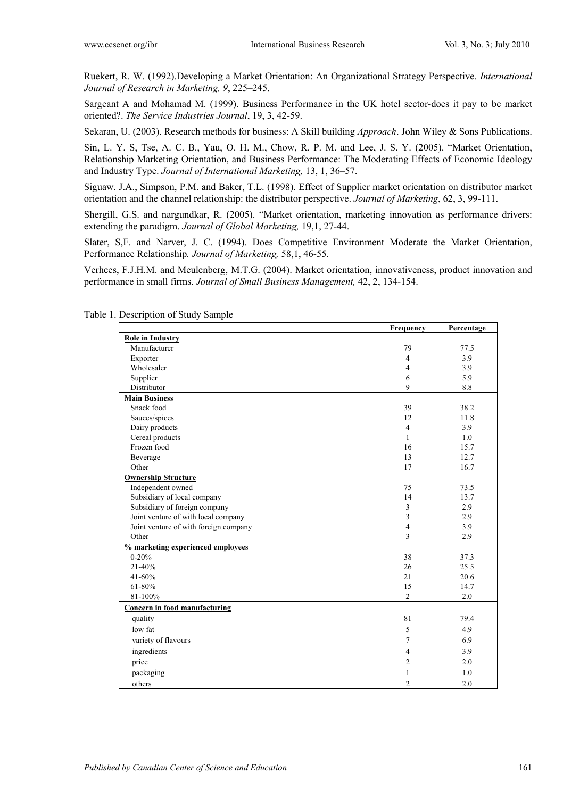Ruekert, R. W. (1992).Developing a Market Orientation: An Organizational Strategy Perspective. *International Journal of Research in Marketing, 9*, 225–245.

Sargeant A and Mohamad M. (1999). Business Performance in the UK hotel sector-does it pay to be market oriented?. *The Service Industries Journal*, 19, 3, 42-59.

Sekaran, U. (2003). Research methods for business: A Skill building *Approach*. John Wiley & Sons Publications.

Sin, L. Y. S, Tse, A. C. B., Yau, O. H. M., Chow, R. P. M. and Lee, J. S. Y. (2005). "Market Orientation, Relationship Marketing Orientation, and Business Performance: The Moderating Effects of Economic Ideology and Industry Type. *Journal of International Marketing,* 13, 1, 36–57.

Siguaw. J.A., Simpson, P.M. and Baker, T.L. (1998). Effect of Supplier market orientation on distributor market orientation and the channel relationship: the distributor perspective. *Journal of Marketing*, 62, 3, 99-111.

Shergill, G.S. and nargundkar, R. (2005). "Market orientation, marketing innovation as performance drivers: extending the paradigm. *Journal of Global Marketing,* 19,1, 27-44.

Slater, S,F. and Narver, J. C. (1994). Does Competitive Environment Moderate the Market Orientation, Performance Relationship*. Journal of Marketing,* 58,1, 46-55.

Verhees, F.J.H.M. and Meulenberg, M.T.G. (2004). Market orientation, innovativeness, product innovation and performance in small firms. *Journal of Small Business Management,* 42, 2, 134-154.

|                                       | Frequency      | Percentage |
|---------------------------------------|----------------|------------|
| <b>Role in Industry</b>               |                |            |
| Manufacturer                          | 79             | 77.5       |
| Exporter                              | $\overline{4}$ | 3.9        |
| Wholesaler                            | $\overline{4}$ | 3.9        |
| Supplier                              | 6              | 5.9        |
| Distributor                           | 9              | 8.8        |
| <b>Main Business</b>                  |                |            |
| Snack food                            | 39             | 38.2       |
| Sauces/spices                         | 12             | 11.8       |
| Dairy products                        | $\overline{4}$ | 3.9        |
| Cereal products                       | $\mathbf{1}$   | 1.0        |
| Frozen food                           | 16             | 15.7       |
| Beverage                              | 13             | 12.7       |
| Other                                 | 17             | 16.7       |
| <b>Ownership Structure</b>            |                |            |
| Independent owned                     | 75             | 73.5       |
| Subsidiary of local company           | 14             | 13.7       |
| Subsidiary of foreign company         | 3              | 2.9        |
| Joint venture of with local company   | 3              | 2.9        |
| Joint venture of with foreign company | $\overline{4}$ | 3.9        |
| Other                                 | $\overline{3}$ | 2.9        |
| % marketing experienced employees     |                |            |
| $0 - 20%$                             | 38             | 37.3       |
| 21-40%                                | 26             | 25.5       |
| $41 - 60%$                            | 21             | 20.6       |
| 61-80%                                | 15             | 14.7       |
| 81-100%                               | $\overline{2}$ | 2.0        |
| Concern in food manufacturing         |                |            |
| quality                               | 81             | 79.4       |
| low fat                               | 5              | 4.9        |
| variety of flavours                   | $\overline{7}$ | 6.9        |
| ingredients                           | $\overline{4}$ | 3.9        |
| price                                 | $\overline{2}$ | 2.0        |
| packaging                             | 1              | 1.0        |
| others                                | $\overline{c}$ | 2.0        |

Table 1. Description of Study Sample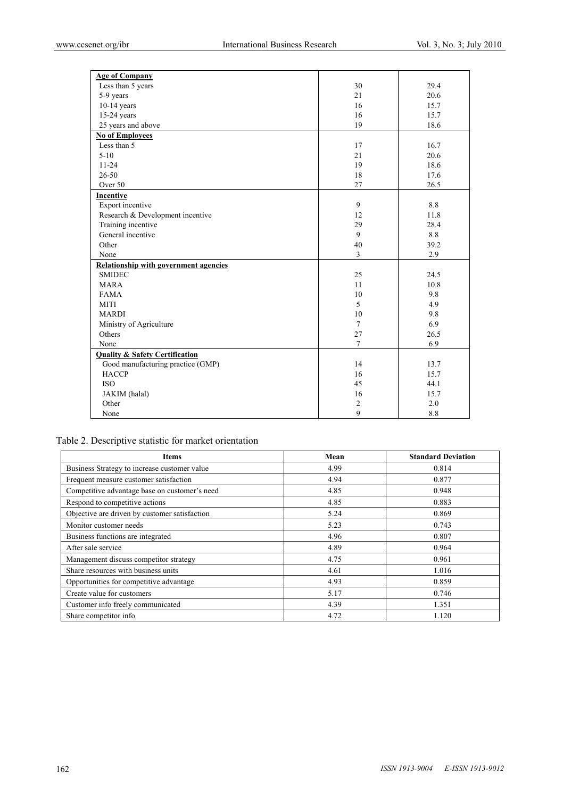| <b>Age of Company</b>                        |                |      |
|----------------------------------------------|----------------|------|
| Less than 5 years                            | 30             | 29.4 |
| 5-9 years                                    | 21             | 20.6 |
| $10-14$ years                                | 16             | 15.7 |
| $15-24$ years                                | 16             | 15.7 |
| 25 years and above                           | 19             | 18.6 |
| <b>No of Employees</b>                       |                |      |
| Less than 5                                  | 17             | 16.7 |
| $5-10$                                       | 21             | 20.6 |
| $11 - 24$                                    | 19             | 18.6 |
| $26 - 50$                                    | 18             | 17.6 |
| Over 50                                      | 27             | 26.5 |
| <b>Incentive</b>                             |                |      |
| Export incentive                             | $\mathbf{Q}$   | 8.8  |
| Research & Development incentive             | 12             | 11.8 |
| Training incentive                           | 29             | 28.4 |
| General incentive                            | 9              | 8.8  |
| Other                                        | 40             | 39.2 |
| None                                         | $\overline{3}$ | 2.9  |
| <b>Relationship with government agencies</b> |                |      |
| <b>SMIDEC</b>                                | 25             | 24.5 |
| <b>MARA</b>                                  | 11             | 10.8 |
| <b>FAMA</b>                                  | 10             | 9.8  |
| <b>MITI</b>                                  | 5              | 4.9  |
| <b>MARDI</b>                                 | 10             | 9.8  |
| Ministry of Agriculture                      | $\tau$         | 6.9  |
| Others                                       | 27             | 26.5 |
| None                                         | $\tau$         | 6.9  |
| <b>Quality &amp; Safety Certification</b>    |                |      |
| Good manufacturing practice (GMP)            | 14             | 13.7 |
| <b>HACCP</b>                                 | 16             | 15.7 |
| <b>ISO</b>                                   | 45             | 44.1 |
| JAKIM (halal)                                | 16             | 15.7 |
| Other                                        | $\overline{c}$ | 2.0  |
| None                                         | 9              | 8.8  |

Table 2. Descriptive statistic for market orientation

| <b>Items</b>                                  | Mean | <b>Standard Deviation</b> |
|-----------------------------------------------|------|---------------------------|
| Business Strategy to increase customer value  | 4.99 | 0.814                     |
| Frequent measure customer satisfaction        | 4.94 | 0.877                     |
| Competitive advantage base on customer's need | 4.85 | 0.948                     |
| Respond to competitive actions                | 4.85 | 0.883                     |
| Objective are driven by customer satisfaction | 5.24 | 0.869                     |
| Monitor customer needs                        | 5.23 | 0.743                     |
| Business functions are integrated             | 4.96 | 0.807                     |
| After sale service                            | 4.89 | 0.964                     |
| Management discuss competitor strategy        | 4.75 | 0.961                     |
| Share resources with business units           | 4.61 | 1.016                     |
| Opportunities for competitive advantage       | 4.93 | 0.859                     |
| Create value for customers                    | 5.17 | 0.746                     |
| Customer info freely communicated             | 4.39 | 1.351                     |
| Share competitor info                         | 4.72 | 1.120                     |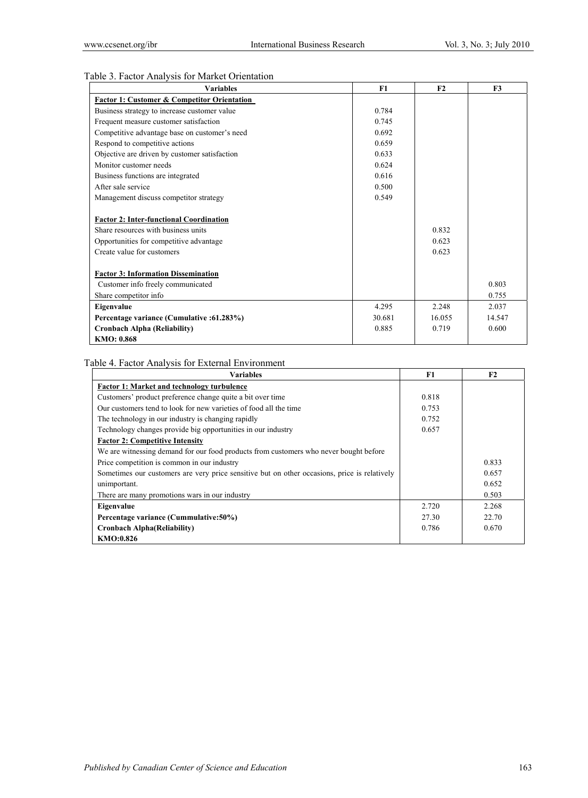# Table 3. Factor Analysis for Market Orientation

| <b>Variables</b>                                       | F1     | F2     | F3     |
|--------------------------------------------------------|--------|--------|--------|
| <b>Factor 1: Customer &amp; Competitor Orientation</b> |        |        |        |
| Business strategy to increase customer value           | 0.784  |        |        |
| Frequent measure customer satisfaction                 | 0.745  |        |        |
| Competitive advantage base on customer's need          | 0.692  |        |        |
| Respond to competitive actions                         | 0.659  |        |        |
| Objective are driven by customer satisfaction          | 0.633  |        |        |
| Monitor customer needs                                 | 0.624  |        |        |
| Business functions are integrated                      | 0.616  |        |        |
| After sale service                                     | 0.500  |        |        |
| Management discuss competitor strategy                 | 0.549  |        |        |
| <b>Factor 2: Inter-functional Coordination</b>         |        |        |        |
| Share resources with business units                    |        | 0.832  |        |
| Opportunities for competitive advantage                |        | 0.623  |        |
| Create value for customers                             |        | 0.623  |        |
| <b>Factor 3: Information Dissemination</b>             |        |        |        |
| Customer info freely communicated                      |        |        | 0.803  |
| Share competitor info                                  |        |        | 0.755  |
| Eigenvalue                                             | 4.295  | 2.248  | 2.037  |
| Percentage variance (Cumulative :61.283%)              | 30.681 | 16.055 | 14.547 |
| <b>Cronbach Alpha (Reliability)</b>                    | 0.885  | 0.719  | 0.600  |
| KMO: 0.868                                             |        |        |        |

### Table 4. Factor Analysis for External Environment

| <b>Variables</b>                                                                             | F1    | F2    |
|----------------------------------------------------------------------------------------------|-------|-------|
| <b>Factor 1: Market and technology turbulence</b>                                            |       |       |
| Customers' product preference change quite a bit over time                                   | 0.818 |       |
| Our customers tend to look for new varieties of food all the time                            | 0.753 |       |
| The technology in our industry is changing rapidly                                           | 0.752 |       |
| Technology changes provide big opportunities in our industry                                 | 0.657 |       |
| <b>Factor 2: Competitive Intensity</b>                                                       |       |       |
| We are witnessing demand for our food products from customers who never bought before        |       |       |
| Price competition is common in our industry                                                  |       | 0.833 |
| Sometimes our customers are very price sensitive but on other occasions, price is relatively |       | 0.657 |
| unimportant.                                                                                 |       | 0.652 |
| There are many promotions wars in our industry                                               |       | 0.503 |
| Eigenvalue                                                                                   | 2.720 | 2.268 |
| Percentage variance (Cummulative: 50%)                                                       | 27.30 | 22.70 |
| <b>Cronbach Alpha(Reliability)</b>                                                           | 0.786 | 0.670 |
| KMO:0.826                                                                                    |       |       |